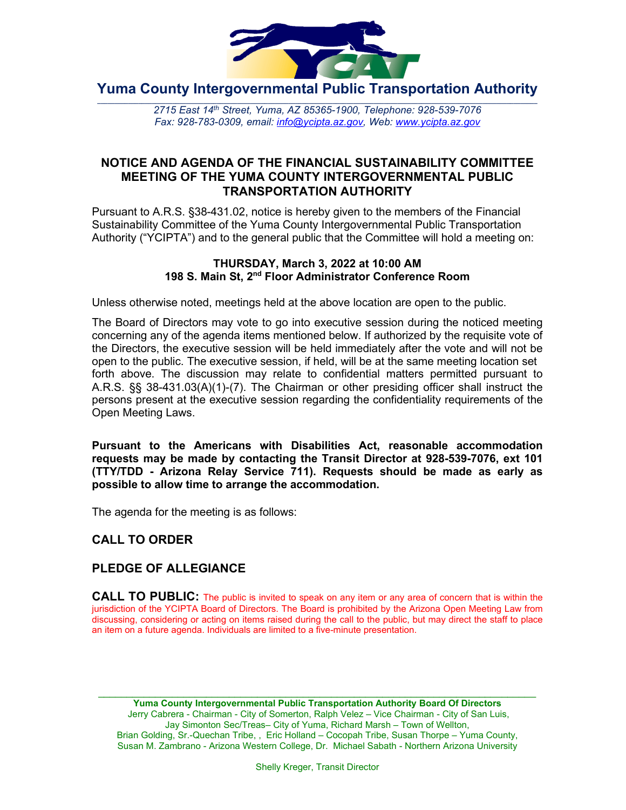

**Yuma County Intergovernmental Public Transportation Authority**

2715 East 14th Street, Yuma, AZ 85365-1900, Telephone: 928-539-7076 *Fax: 928-783-0309, email: [info@ycipta.az.gov,](mailto:info@ycipta.az.gov) Web: [www.ycipta.az.gov](http://www.ycipta.az.gov/)*

# **NOTICE AND AGENDA OF THE FINANCIAL SUSTAINABILITY COMMITTEE MEETING OF THE YUMA COUNTY INTERGOVERNMENTAL PUBLIC TRANSPORTATION AUTHORITY**

Pursuant to A.R.S. §38-431.02, notice is hereby given to the members of the Financial Sustainability Committee of the Yuma County Intergovernmental Public Transportation Authority ("YCIPTA") and to the general public that the Committee will hold a meeting on:

#### **THURSDAY, March 3, 2022 at 10:00 AM 198 S. Main St, 2nd Floor Administrator Conference Room**

Unless otherwise noted, meetings held at the above location are open to the public.

The Board of Directors may vote to go into executive session during the noticed meeting concerning any of the agenda items mentioned below. If authorized by the requisite vote of the Directors, the executive session will be held immediately after the vote and will not be open to the public. The executive session, if held, will be at the same meeting location set forth above. The discussion may relate to confidential matters permitted pursuant to A.R.S. §§ 38-431.03(A)(1)-(7). The Chairman or other presiding officer shall instruct the persons present at the executive session regarding the confidentiality requirements of the Open Meeting Laws.

**Pursuant to the Americans with Disabilities Act, reasonable accommodation requests may be made by contacting the Transit Director at 928-539-7076, ext 101 (TTY/TDD - Arizona Relay Service 711). Requests should be made as early as possible to allow time to arrange the accommodation.**

The agenda for the meeting is as follows:

# **CALL TO ORDER**

# **PLEDGE OF ALLEGIANCE**

**CALL TO PUBLIC:** The public is invited to speak on any item or any area of concern that is within the jurisdiction of the YCIPTA Board of Directors. The Board is prohibited by the Arizona Open Meeting Law from discussing, considering or acting on items raised during the call to the public, but may direct the staff to place an item on a future agenda. Individuals are limited to a five-minute presentation.

\_\_\_\_\_\_\_\_\_\_\_\_\_\_\_\_\_\_\_\_\_\_\_\_\_\_\_\_\_\_\_\_\_\_\_\_\_\_\_\_\_\_\_\_\_\_\_\_\_\_\_\_\_\_\_\_\_\_\_\_\_\_\_\_\_\_\_\_\_\_\_\_\_\_\_\_\_ **Yuma County Intergovernmental Public Transportation Authority Board Of Directors** Jerry Cabrera - Chairman - City of Somerton, Ralph Velez – Vice Chairman - City of San Luis, Jay Simonton Sec/Treas– City of Yuma, Richard Marsh – Town of Wellton, Brian Golding, Sr.-Quechan Tribe, , Eric Holland – Cocopah Tribe, Susan Thorpe – Yuma County, Susan M. Zambrano - Arizona Western College, Dr. Michael Sabath - Northern Arizona University